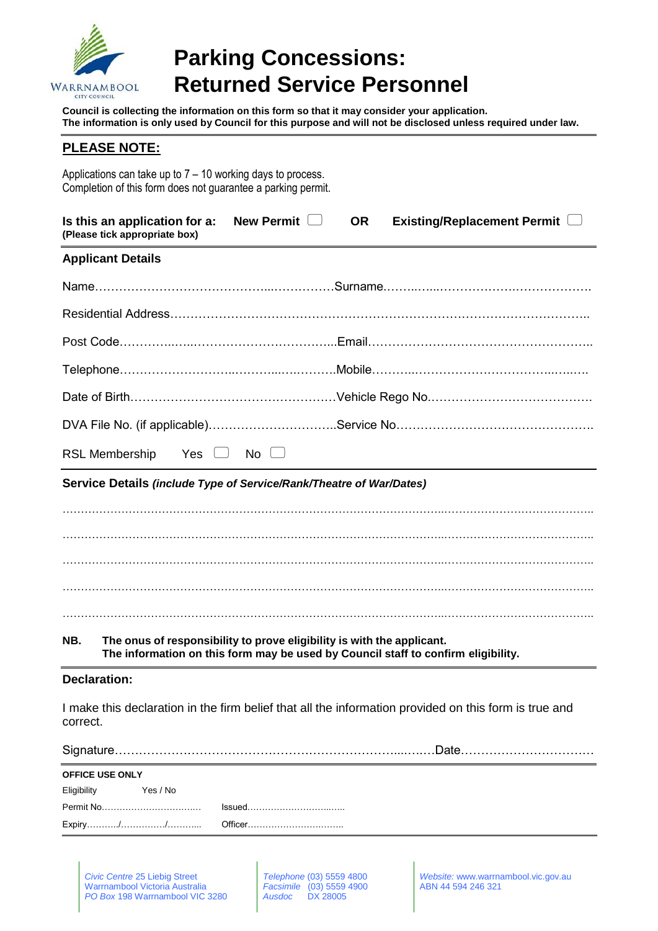

# **Parking Concessions: Returned Service Personnel**

**Council is collecting the information on this form so that it may consider your application. The information is only used by Council for this purpose and will not be disclosed unless required under law.**

## **PLEASE NOTE:**

Applications can take up to 7 – 10 working days to process. Completion of this form does not guarantee a parking permit.

| Is this an application for a:<br>(Please tick appropriate box)               | New Permit $\Box$ | <b>OR</b> | Existing/Replacement Permit $\Box$ |
|------------------------------------------------------------------------------|-------------------|-----------|------------------------------------|
| <b>Applicant Details</b>                                                     |                   |           |                                    |
|                                                                              |                   |           |                                    |
|                                                                              |                   |           |                                    |
|                                                                              |                   |           |                                    |
|                                                                              |                   |           |                                    |
|                                                                              |                   |           |                                    |
|                                                                              |                   |           |                                    |
| <b>RSL Membership</b>                                                        | Yes □ No □        |           |                                    |
| Service Details (include Type of Service/Rank/Theatre of War/Dates)          |                   |           |                                    |
|                                                                              |                   |           |                                    |
|                                                                              |                   |           |                                    |
|                                                                              |                   |           |                                    |
|                                                                              |                   |           |                                    |
|                                                                              |                   |           |                                    |
| The onus of responsibility to prove eligibility is with the applicant<br>NR. |                   |           |                                    |

#### **NB. The onus of responsibility to prove eligibility is with the applicant. The information on this form may be used by Council staff to confirm eligibility.**

### **Declaration:**

I make this declaration in the firm belief that all the information provided on this form is true and correct.

Signature……………………………………………………………....….…Date……………………………

| <b>OFFICE USE ONLY</b> |          |        |  |
|------------------------|----------|--------|--|
| Eligibility            | Yes / No |        |  |
| Permit No              |          | Issued |  |
|                        |          |        |  |